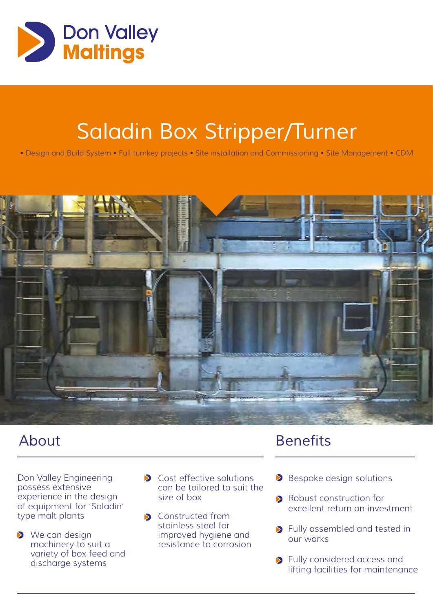

## *Saladin Box Stripper/Turner*

• Design and Build System • Full turnkey projects • Site installation and Commissioning • Site Management • CDM



Don Valley Engineering possess extensive experience in the design of equipment for 'Saladin' type malt plants

- We can design machinery to suit a variety of box feed and discharge systems
- **Cost effective solutions** can be tailored to suit the size of box
- **S** Constructed from stainless steel for improved hygiene and resistance to corrosion

## *About Benefits*

- Bespoke design solutions
- **Robust construction for** excellent return on investment
- **D** Fully assembled and tested in our works
- **>** Fully considered access and lifting facilities for maintenance